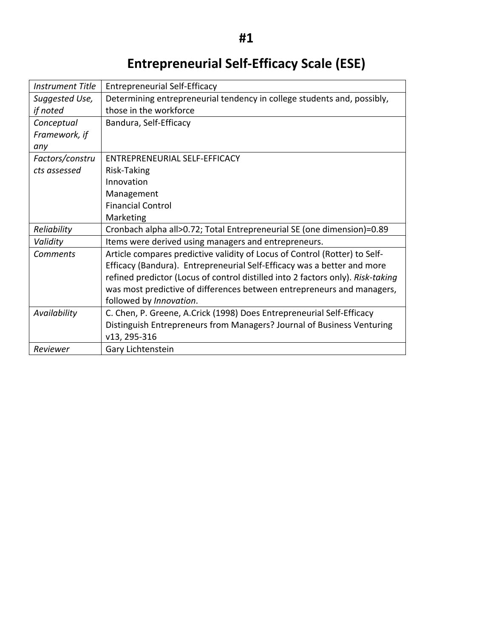# **Entrepreneurial Self-Efficacy Scale (ESE)**

| <b>Instrument Title</b> | <b>Entrepreneurial Self-Efficacy</b>                                            |
|-------------------------|---------------------------------------------------------------------------------|
| Suggested Use,          | Determining entrepreneurial tendency in college students and, possibly,         |
| if noted                | those in the workforce                                                          |
| Conceptual              | Bandura, Self-Efficacy                                                          |
| Framework, if           |                                                                                 |
| any                     |                                                                                 |
| Factors/constru         | ENTREPRENEURIAL SELF-EFFICACY                                                   |
| cts assessed            | Risk-Taking                                                                     |
|                         | Innovation                                                                      |
|                         | Management                                                                      |
|                         | <b>Financial Control</b>                                                        |
|                         | Marketing                                                                       |
| Reliability             | Cronbach alpha all>0.72; Total Entrepreneurial SE (one dimension)=0.89          |
| Validity                | Items were derived using managers and entrepreneurs.                            |
| Comments                | Article compares predictive validity of Locus of Control (Rotter) to Self-      |
|                         | Efficacy (Bandura). Entrepreneurial Self-Efficacy was a better and more         |
|                         | refined predictor (Locus of control distilled into 2 factors only). Risk-taking |
|                         | was most predictive of differences between entrepreneurs and managers,          |
|                         | followed by Innovation.                                                         |
| Availability            | C. Chen, P. Greene, A.Crick (1998) Does Entrepreneurial Self-Efficacy           |
|                         | Distinguish Entrepreneurs from Managers? Journal of Business Venturing          |
|                         | v13, 295-316                                                                    |
| Reviewer                | Gary Lichtenstein                                                               |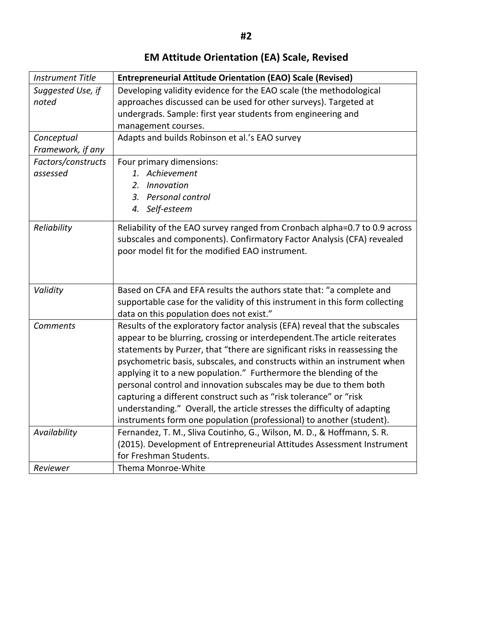# **EM Attitude Orientation (EA) Scale, Revised**

| <b>Instrument Title</b> | <b>Entrepreneurial Attitude Orientation (EAO) Scale (Revised)</b>                                                                                                                                                                                                                                                                                                                                                                                                                                                                                                                                                                                                                   |
|-------------------------|-------------------------------------------------------------------------------------------------------------------------------------------------------------------------------------------------------------------------------------------------------------------------------------------------------------------------------------------------------------------------------------------------------------------------------------------------------------------------------------------------------------------------------------------------------------------------------------------------------------------------------------------------------------------------------------|
| Suggested Use, if       | Developing validity evidence for the EAO scale (the methodological                                                                                                                                                                                                                                                                                                                                                                                                                                                                                                                                                                                                                  |
| noted                   | approaches discussed can be used for other surveys). Targeted at                                                                                                                                                                                                                                                                                                                                                                                                                                                                                                                                                                                                                    |
|                         | undergrads. Sample: first year students from engineering and                                                                                                                                                                                                                                                                                                                                                                                                                                                                                                                                                                                                                        |
|                         | management courses.                                                                                                                                                                                                                                                                                                                                                                                                                                                                                                                                                                                                                                                                 |
| Conceptual              | Adapts and builds Robinson et al.'s EAO survey                                                                                                                                                                                                                                                                                                                                                                                                                                                                                                                                                                                                                                      |
| Framework, if any       |                                                                                                                                                                                                                                                                                                                                                                                                                                                                                                                                                                                                                                                                                     |
| Factors/constructs      | Four primary dimensions:                                                                                                                                                                                                                                                                                                                                                                                                                                                                                                                                                                                                                                                            |
| assessed                | 1. Achievement                                                                                                                                                                                                                                                                                                                                                                                                                                                                                                                                                                                                                                                                      |
|                         | Innovation<br>2.                                                                                                                                                                                                                                                                                                                                                                                                                                                                                                                                                                                                                                                                    |
|                         | 3. Personal control                                                                                                                                                                                                                                                                                                                                                                                                                                                                                                                                                                                                                                                                 |
|                         | 4. Self-esteem                                                                                                                                                                                                                                                                                                                                                                                                                                                                                                                                                                                                                                                                      |
| Reliability             | Reliability of the EAO survey ranged from Cronbach alpha=0.7 to 0.9 across<br>subscales and components). Confirmatory Factor Analysis (CFA) revealed<br>poor model fit for the modified EAO instrument.                                                                                                                                                                                                                                                                                                                                                                                                                                                                             |
| Validity                | Based on CFA and EFA results the authors state that: "a complete and<br>supportable case for the validity of this instrument in this form collecting<br>data on this population does not exist."                                                                                                                                                                                                                                                                                                                                                                                                                                                                                    |
| <b>Comments</b>         | Results of the exploratory factor analysis (EFA) reveal that the subscales<br>appear to be blurring, crossing or interdependent. The article reiterates<br>statements by Purzer, that "there are significant risks in reassessing the<br>psychometric basis, subscales, and constructs within an instrument when<br>applying it to a new population." Furthermore the blending of the<br>personal control and innovation subscales may be due to them both<br>capturing a different construct such as "risk tolerance" or "risk<br>understanding." Overall, the article stresses the difficulty of adapting<br>instruments form one population (professional) to another (student). |
| Availability            | Fernandez, T. M., Sliva Coutinho, G., Wilson, M. D., & Hoffmann, S. R.<br>(2015). Development of Entrepreneurial Attitudes Assessment Instrument                                                                                                                                                                                                                                                                                                                                                                                                                                                                                                                                    |
|                         | for Freshman Students.                                                                                                                                                                                                                                                                                                                                                                                                                                                                                                                                                                                                                                                              |
| Reviewer                | Thema Monroe-White                                                                                                                                                                                                                                                                                                                                                                                                                                                                                                                                                                                                                                                                  |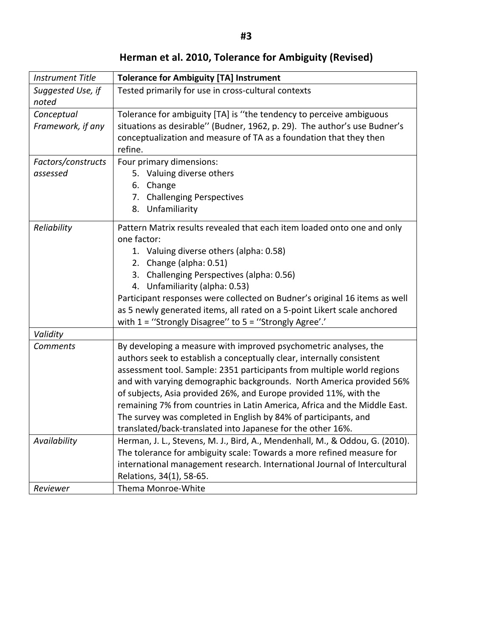**Herman et al. 2010, Tolerance for Ambiguity (Revised)**

| <b>Instrument Title</b>    | <b>Tolerance for Ambiguity [TA] Instrument</b>                                                                                                                                                                                                                                                                                                                                                                                                                                                                                                                                  |  |  |  |
|----------------------------|---------------------------------------------------------------------------------------------------------------------------------------------------------------------------------------------------------------------------------------------------------------------------------------------------------------------------------------------------------------------------------------------------------------------------------------------------------------------------------------------------------------------------------------------------------------------------------|--|--|--|
| Suggested Use, if<br>noted | Tested primarily for use in cross-cultural contexts                                                                                                                                                                                                                                                                                                                                                                                                                                                                                                                             |  |  |  |
| Conceptual                 | Tolerance for ambiguity [TA] is "the tendency to perceive ambiguous                                                                                                                                                                                                                                                                                                                                                                                                                                                                                                             |  |  |  |
| Framework, if any          | situations as desirable" (Budner, 1962, p. 29). The author's use Budner's<br>conceptualization and measure of TA as a foundation that they then<br>refine.                                                                                                                                                                                                                                                                                                                                                                                                                      |  |  |  |
| Factors/constructs         | Four primary dimensions:                                                                                                                                                                                                                                                                                                                                                                                                                                                                                                                                                        |  |  |  |
| assessed                   | 5. Valuing diverse others                                                                                                                                                                                                                                                                                                                                                                                                                                                                                                                                                       |  |  |  |
|                            | 6. Change                                                                                                                                                                                                                                                                                                                                                                                                                                                                                                                                                                       |  |  |  |
|                            | 7. Challenging Perspectives                                                                                                                                                                                                                                                                                                                                                                                                                                                                                                                                                     |  |  |  |
|                            | 8. Unfamiliarity                                                                                                                                                                                                                                                                                                                                                                                                                                                                                                                                                                |  |  |  |
| Reliability                | Pattern Matrix results revealed that each item loaded onto one and only<br>one factor:                                                                                                                                                                                                                                                                                                                                                                                                                                                                                          |  |  |  |
|                            | 1. Valuing diverse others (alpha: 0.58)                                                                                                                                                                                                                                                                                                                                                                                                                                                                                                                                         |  |  |  |
|                            | 2. Change (alpha: 0.51)                                                                                                                                                                                                                                                                                                                                                                                                                                                                                                                                                         |  |  |  |
|                            | 3. Challenging Perspectives (alpha: 0.56)                                                                                                                                                                                                                                                                                                                                                                                                                                                                                                                                       |  |  |  |
|                            | 4. Unfamiliarity (alpha: 0.53)                                                                                                                                                                                                                                                                                                                                                                                                                                                                                                                                                  |  |  |  |
|                            | Participant responses were collected on Budner's original 16 items as well<br>as 5 newly generated items, all rated on a 5-point Likert scale anchored<br>with $1 =$ "Strongly Disagree" to $5 =$ "Strongly Agree".                                                                                                                                                                                                                                                                                                                                                             |  |  |  |
| Validity                   |                                                                                                                                                                                                                                                                                                                                                                                                                                                                                                                                                                                 |  |  |  |
| <b>Comments</b>            | By developing a measure with improved psychometric analyses, the<br>authors seek to establish a conceptually clear, internally consistent<br>assessment tool. Sample: 2351 participants from multiple world regions<br>and with varying demographic backgrounds. North America provided 56%<br>of subjects, Asia provided 26%, and Europe provided 11%, with the<br>remaining 7% from countries in Latin America, Africa and the Middle East.<br>The survey was completed in English by 84% of participants, and<br>translated/back-translated into Japanese for the other 16%. |  |  |  |
| Availability               | Herman, J. L., Stevens, M. J., Bird, A., Mendenhall, M., & Oddou, G. (2010).                                                                                                                                                                                                                                                                                                                                                                                                                                                                                                    |  |  |  |
|                            | The tolerance for ambiguity scale: Towards a more refined measure for                                                                                                                                                                                                                                                                                                                                                                                                                                                                                                           |  |  |  |
|                            | international management research. International Journal of Intercultural                                                                                                                                                                                                                                                                                                                                                                                                                                                                                                       |  |  |  |
|                            | Relations, 34(1), 58-65.                                                                                                                                                                                                                                                                                                                                                                                                                                                                                                                                                        |  |  |  |
| Reviewer                   | Thema Monroe-White                                                                                                                                                                                                                                                                                                                                                                                                                                                                                                                                                              |  |  |  |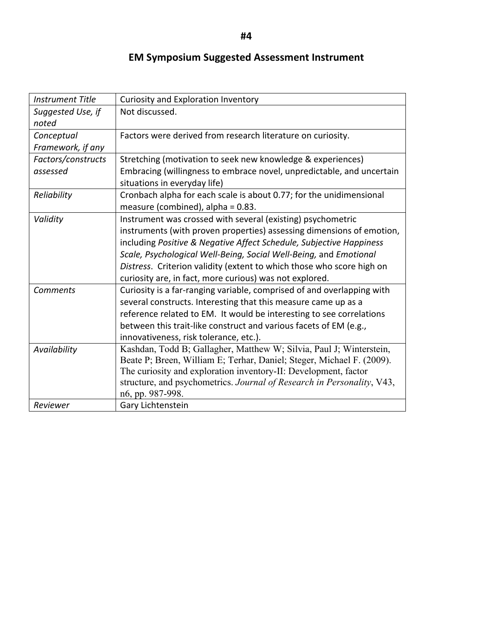#### **EM Symposium Suggested Assessment Instrument**

| <b>Instrument Title</b>         | <b>Curiosity and Exploration Inventory</b>                                                                                                                                                                                                                                                                                                                                                                           |
|---------------------------------|----------------------------------------------------------------------------------------------------------------------------------------------------------------------------------------------------------------------------------------------------------------------------------------------------------------------------------------------------------------------------------------------------------------------|
| Suggested Use, if<br>noted      | Not discussed.                                                                                                                                                                                                                                                                                                                                                                                                       |
| Conceptual<br>Framework, if any | Factors were derived from research literature on curiosity.                                                                                                                                                                                                                                                                                                                                                          |
| Factors/constructs<br>assessed  | Stretching (motivation to seek new knowledge & experiences)<br>Embracing (willingness to embrace novel, unpredictable, and uncertain<br>situations in everyday life)                                                                                                                                                                                                                                                 |
| Reliability                     | Cronbach alpha for each scale is about 0.77; for the unidimensional<br>measure (combined), alpha = 0.83.                                                                                                                                                                                                                                                                                                             |
| Validity                        | Instrument was crossed with several (existing) psychometric<br>instruments (with proven properties) assessing dimensions of emotion,<br>including Positive & Negative Affect Schedule, Subjective Happiness<br>Scale, Psychological Well-Being, Social Well-Being, and Emotional<br>Distress. Criterion validity (extent to which those who score high on<br>curiosity are, in fact, more curious) was not explored. |
| <b>Comments</b>                 | Curiosity is a far-ranging variable, comprised of and overlapping with<br>several constructs. Interesting that this measure came up as a<br>reference related to EM. It would be interesting to see correlations<br>between this trait-like construct and various facets of EM (e.g.,<br>innovativeness, risk tolerance, etc.).                                                                                      |
| Availability                    | Kashdan, Todd B; Gallagher, Matthew W; Silvia, Paul J; Winterstein,<br>Beate P; Breen, William E; Terhar, Daniel; Steger, Michael F. (2009).<br>The curiosity and exploration inventory-II: Development, factor<br>structure, and psychometrics. Journal of Research in Personality, V43,<br>n6, pp. 987-998.                                                                                                        |
| Reviewer                        | Gary Lichtenstein                                                                                                                                                                                                                                                                                                                                                                                                    |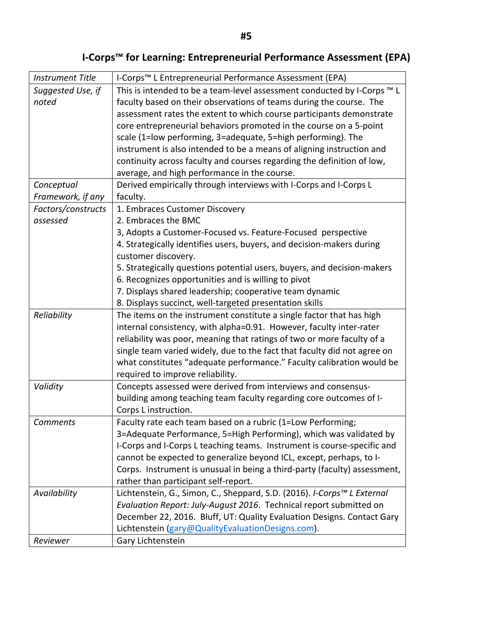# **I-Corps<sup>™</sup> for Learning: Entrepreneurial Performance Assessment (EPA)**

| <b>Instrument Title</b> | I-Corps <sup>™</sup> L Entrepreneurial Performance Assessment (EPA)       |
|-------------------------|---------------------------------------------------------------------------|
| Suggested Use, if       | This is intended to be a team-level assessment conducted by I-Corps ™ L   |
| noted                   | faculty based on their observations of teams during the course. The       |
|                         | assessment rates the extent to which course participants demonstrate      |
|                         | core entrepreneurial behaviors promoted in the course on a 5-point        |
|                         | scale (1=low performing, 3=adequate, 5=high performing). The              |
|                         | instrument is also intended to be a means of aligning instruction and     |
|                         | continuity across faculty and courses regarding the definition of low,    |
|                         | average, and high performance in the course.                              |
| Conceptual              | Derived empirically through interviews with I-Corps and I-Corps L         |
| Framework, if any       | faculty.                                                                  |
| Factors/constructs      | 1. Embraces Customer Discovery                                            |
| assessed                | 2. Embraces the BMC                                                       |
|                         | 3, Adopts a Customer-Focused vs. Feature-Focused perspective              |
|                         | 4. Strategically identifies users, buyers, and decision-makers during     |
|                         | customer discovery.                                                       |
|                         | 5. Strategically questions potential users, buyers, and decision-makers   |
|                         | 6. Recognizes opportunities and is willing to pivot                       |
|                         | 7. Displays shared leadership; cooperative team dynamic                   |
|                         | 8. Displays succinct, well-targeted presentation skills                   |
| Reliability             | The items on the instrument constitute a single factor that has high      |
|                         | internal consistency, with alpha=0.91. However, faculty inter-rater       |
|                         | reliability was poor, meaning that ratings of two or more faculty of a    |
|                         | single team varied widely, due to the fact that faculty did not agree on  |
|                         | what constitutes "adequate performance." Faculty calibration would be     |
|                         | required to improve reliability.                                          |
| Validity                | Concepts assessed were derived from interviews and consensus-             |
|                         | building among teaching team faculty regarding core outcomes of I-        |
|                         | Corps L instruction.                                                      |
| Comments                | Faculty rate each team based on a rubric (1=Low Performing;               |
|                         | 3=Adequate Performance, 5=High Performing), which was validated by        |
|                         | I-Corps and I-Corps L teaching teams. Instrument is course-specific and   |
|                         | cannot be expected to generalize beyond ICL, except, perhaps, to I-       |
|                         | Corps. Instrument is unusual in being a third-party (faculty) assessment, |
|                         | rather than participant self-report.                                      |
| Availability            | Lichtenstein, G., Simon, C., Sheppard, S.D. (2016). I-Corps™ L External   |
|                         | Evaluation Report: July-August 2016. Technical report submitted on        |
|                         | December 22, 2016. Bluff, UT: Quality Evaluation Designs. Contact Gary    |
|                         | Lichtenstein (gary@QualityEvaluationDesigns.com).                         |
| Reviewer                | Gary Lichtenstein                                                         |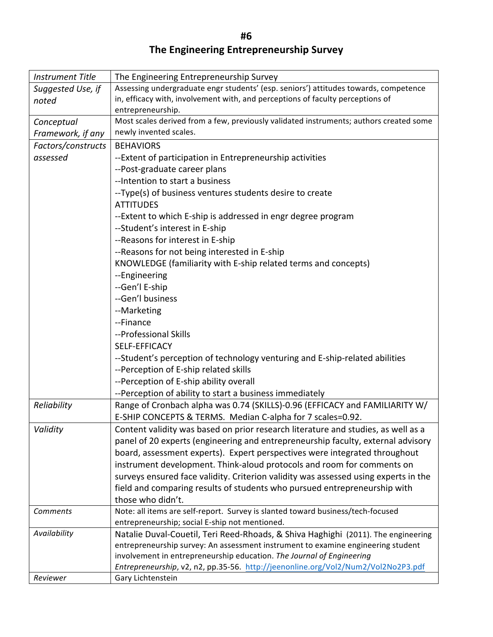**#6 The Engineering Entrepreneurship Survey**

| <b>Instrument Title</b> | The Engineering Entrepreneurship Survey                                                |  |
|-------------------------|----------------------------------------------------------------------------------------|--|
| Suggested Use, if       | Assessing undergraduate engr students' (esp. seniors') attitudes towards, competence   |  |
| noted                   | in, efficacy with, involvement with, and perceptions of faculty perceptions of         |  |
|                         | entrepreneurship.                                                                      |  |
| Conceptual              | Most scales derived from a few, previously validated instruments; authors created some |  |
| Framework, if any       | newly invented scales.                                                                 |  |
| Factors/constructs      | <b>BEHAVIORS</b>                                                                       |  |
| assessed                | --Extent of participation in Entrepreneurship activities                               |  |
|                         | --Post-graduate career plans                                                           |  |
|                         | -- Intention to start a business                                                       |  |
|                         | --Type(s) of business ventures students desire to create                               |  |
|                         | <b>ATTITUDES</b>                                                                       |  |
|                         | --Extent to which E-ship is addressed in engr degree program                           |  |
|                         | --Student's interest in E-ship                                                         |  |
|                         | --Reasons for interest in E-ship                                                       |  |
|                         | --Reasons for not being interested in E-ship                                           |  |
|                         | KNOWLEDGE (familiarity with E-ship related terms and concepts)                         |  |
|                         | --Engineering                                                                          |  |
|                         | --Gen'l E-ship                                                                         |  |
|                         | --Gen'l business                                                                       |  |
|                         | --Marketing                                                                            |  |
|                         | --Finance                                                                              |  |
|                         | --Professional Skills                                                                  |  |
|                         | SELF-EFFICACY                                                                          |  |
|                         | --Student's perception of technology venturing and E-ship-related abilities            |  |
|                         | --Perception of E-ship related skills                                                  |  |
|                         | --Perception of E-ship ability overall                                                 |  |
|                         | --Perception of ability to start a business immediately                                |  |
| Reliability             | Range of Cronbach alpha was 0.74 (SKILLS)-0.96 (EFFICACY and FAMILIARITY W/            |  |
|                         | E-SHIP CONCEPTS & TERMS. Median C-alpha for 7 scales=0.92.                             |  |
| Validity                | Content validity was based on prior research literature and studies, as well as a      |  |
|                         | panel of 20 experts (engineering and entrepreneurship faculty, external advisory       |  |
|                         | board, assessment experts). Expert perspectives were integrated throughout             |  |
|                         | instrument development. Think-aloud protocols and room for comments on                 |  |
|                         | surveys ensured face validity. Criterion validity was assessed using experts in the    |  |
|                         | field and comparing results of students who pursued entrepreneurship with              |  |
|                         | those who didn't.                                                                      |  |
| Comments                | Note: all items are self-report. Survey is slanted toward business/tech-focused        |  |
|                         | entrepreneurship; social E-ship not mentioned.                                         |  |
| Availability            | Natalie Duval-Couetil, Teri Reed-Rhoads, & Shiva Haghighi (2011). The engineering      |  |
|                         | entrepreneurship survey: An assessment instrument to examine engineering student       |  |
|                         | involvement in entrepreneurship education. The Journal of Engineering                  |  |
|                         | Entrepreneurship, v2, n2, pp.35-56. http://jeenonline.org/Vol2/Num2/Vol2No2P3.pdf      |  |
| Reviewer                | Gary Lichtenstein                                                                      |  |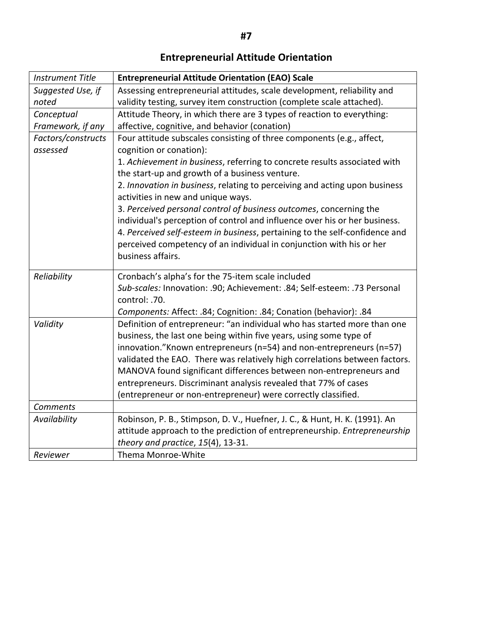# **Entrepreneurial Attitude Orientation**

| <b>Instrument Title</b> | <b>Entrepreneurial Attitude Orientation (EAO) Scale</b>                                                          |  |  |  |
|-------------------------|------------------------------------------------------------------------------------------------------------------|--|--|--|
| Suggested Use, if       | Assessing entrepreneurial attitudes, scale development, reliability and                                          |  |  |  |
| noted                   | validity testing, survey item construction (complete scale attached).                                            |  |  |  |
| Conceptual              | Attitude Theory, in which there are 3 types of reaction to everything:                                           |  |  |  |
| Framework, if any       | affective, cognitive, and behavior (conation)                                                                    |  |  |  |
| Factors/constructs      | Four attitude subscales consisting of three components (e.g., affect,                                            |  |  |  |
| assessed                | cognition or conation):                                                                                          |  |  |  |
|                         | 1. Achievement in business, referring to concrete results associated with                                        |  |  |  |
|                         | the start-up and growth of a business venture.                                                                   |  |  |  |
|                         | 2. Innovation in business, relating to perceiving and acting upon business<br>activities in new and unique ways. |  |  |  |
|                         | 3. Perceived personal control of business outcomes, concerning the                                               |  |  |  |
|                         | individual's perception of control and influence over his or her business.                                       |  |  |  |
|                         | 4. Perceived self-esteem in business, pertaining to the self-confidence and                                      |  |  |  |
|                         | perceived competency of an individual in conjunction with his or her                                             |  |  |  |
|                         | business affairs.                                                                                                |  |  |  |
| Reliability             | Cronbach's alpha's for the 75-item scale included                                                                |  |  |  |
|                         | Sub-scales: Innovation: .90; Achievement: .84; Self-esteem: .73 Personal                                         |  |  |  |
|                         | control: .70.                                                                                                    |  |  |  |
|                         | Components: Affect: .84; Cognition: .84; Conation (behavior): .84                                                |  |  |  |
| Validity                | Definition of entrepreneur: "an individual who has started more than one                                         |  |  |  |
|                         | business, the last one being within five years, using some type of                                               |  |  |  |
|                         | innovation."Known entrepreneurs (n=54) and non-entrepreneurs (n=57)                                              |  |  |  |
|                         | validated the EAO. There was relatively high correlations between factors.                                       |  |  |  |
|                         | MANOVA found significant differences between non-entrepreneurs and                                               |  |  |  |
|                         | entrepreneurs. Discriminant analysis revealed that 77% of cases                                                  |  |  |  |
|                         | (entrepreneur or non-entrepreneur) were correctly classified.                                                    |  |  |  |
| <b>Comments</b>         |                                                                                                                  |  |  |  |
| Availability            | Robinson, P. B., Stimpson, D. V., Huefner, J. C., & Hunt, H. K. (1991). An                                       |  |  |  |
|                         | attitude approach to the prediction of entrepreneurship. Entrepreneurship                                        |  |  |  |
|                         | theory and practice, 15(4), 13-31.                                                                               |  |  |  |
| Reviewer                | Thema Monroe-White                                                                                               |  |  |  |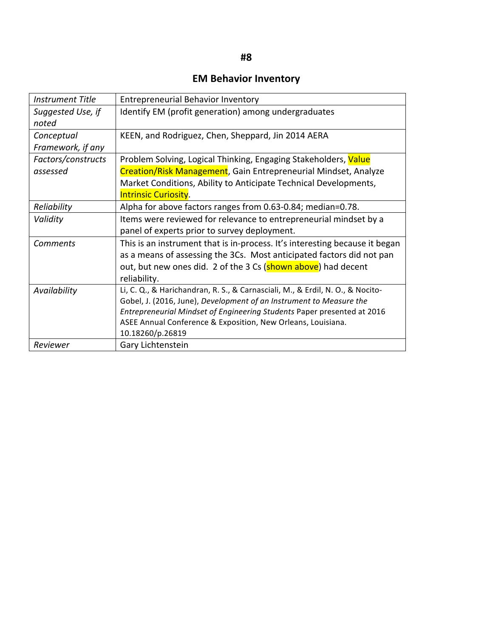#### **EM Behavior Inventory**

| <b>Instrument Title</b> | <b>Entrepreneurial Behavior Inventory</b>                                      |
|-------------------------|--------------------------------------------------------------------------------|
| Suggested Use, if       | Identify EM (profit generation) among undergraduates                           |
| noted                   |                                                                                |
| Conceptual              | KEEN, and Rodriguez, Chen, Sheppard, Jin 2014 AERA                             |
| Framework, if any       |                                                                                |
| Factors/constructs      | Problem Solving, Logical Thinking, Engaging Stakeholders, Value                |
| assessed                | <b>Creation/Risk Management, Gain Entrepreneurial Mindset, Analyze</b>         |
|                         | Market Conditions, Ability to Anticipate Technical Developments,               |
|                         | <b>Intrinsic Curiosity.</b>                                                    |
| Reliability             | Alpha for above factors ranges from 0.63-0.84; median=0.78.                    |
| Validity                | Items were reviewed for relevance to entrepreneurial mindset by a              |
|                         | panel of experts prior to survey deployment.                                   |
| <b>Comments</b>         | This is an instrument that is in-process. It's interesting because it began    |
|                         | as a means of assessing the 3Cs. Most anticipated factors did not pan          |
|                         | out, but new ones did. 2 of the 3 Cs (shown above) had decent                  |
|                         | reliability.                                                                   |
| Availability            | Li, C. Q., & Harichandran, R. S., & Carnasciali, M., & Erdil, N. O., & Nocito- |
|                         | Gobel, J. (2016, June), Development of an Instrument to Measure the            |
|                         | Entrepreneurial Mindset of Engineering Students Paper presented at 2016        |
|                         | ASEE Annual Conference & Exposition, New Orleans, Louisiana.                   |
|                         | 10.18260/p.26819                                                               |
| Reviewer                | Gary Lichtenstein                                                              |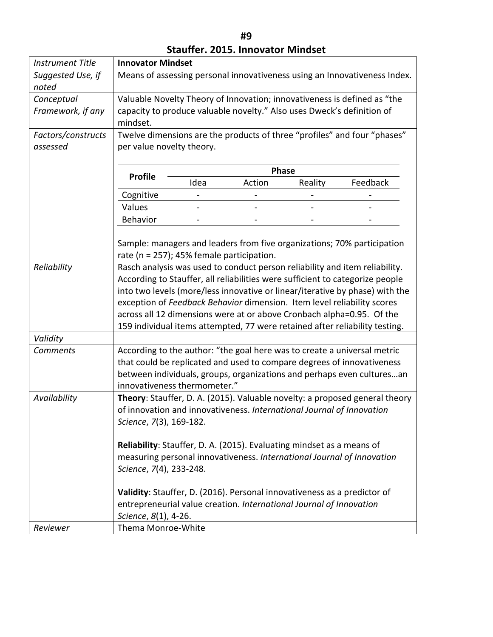| <b>Instrument Title</b>    |                                                                                                                                                                                                                                                                                                                                                                                                                                                                                 | <b>Innovator Mindset</b> |              |         |                                                                                                                                                                                                                              |
|----------------------------|---------------------------------------------------------------------------------------------------------------------------------------------------------------------------------------------------------------------------------------------------------------------------------------------------------------------------------------------------------------------------------------------------------------------------------------------------------------------------------|--------------------------|--------------|---------|------------------------------------------------------------------------------------------------------------------------------------------------------------------------------------------------------------------------------|
| Suggested Use, if<br>noted | Means of assessing personal innovativeness using an Innovativeness Index.                                                                                                                                                                                                                                                                                                                                                                                                       |                          |              |         |                                                                                                                                                                                                                              |
| Conceptual                 | Valuable Novelty Theory of Innovation; innovativeness is defined as "the                                                                                                                                                                                                                                                                                                                                                                                                        |                          |              |         |                                                                                                                                                                                                                              |
| Framework, if any          | capacity to produce valuable novelty." Also uses Dweck's definition of<br>mindset.                                                                                                                                                                                                                                                                                                                                                                                              |                          |              |         |                                                                                                                                                                                                                              |
| Factors/constructs         | Twelve dimensions are the products of three "profiles" and four "phases"                                                                                                                                                                                                                                                                                                                                                                                                        |                          |              |         |                                                                                                                                                                                                                              |
| assessed                   | per value novelty theory.                                                                                                                                                                                                                                                                                                                                                                                                                                                       |                          |              |         |                                                                                                                                                                                                                              |
|                            | <b>Profile</b>                                                                                                                                                                                                                                                                                                                                                                                                                                                                  |                          | <b>Phase</b> |         |                                                                                                                                                                                                                              |
|                            |                                                                                                                                                                                                                                                                                                                                                                                                                                                                                 | Idea                     | Action       | Reality | Feedback                                                                                                                                                                                                                     |
|                            | Cognitive                                                                                                                                                                                                                                                                                                                                                                                                                                                                       |                          |              |         |                                                                                                                                                                                                                              |
|                            | Values                                                                                                                                                                                                                                                                                                                                                                                                                                                                          |                          |              |         |                                                                                                                                                                                                                              |
|                            | Behavior                                                                                                                                                                                                                                                                                                                                                                                                                                                                        |                          |              |         |                                                                                                                                                                                                                              |
|                            | rate (n = 257); 45% female participation.                                                                                                                                                                                                                                                                                                                                                                                                                                       |                          |              |         | Sample: managers and leaders from five organizations; 70% participation                                                                                                                                                      |
| Reliability                | Rasch analysis was used to conduct person reliability and item reliability.<br>According to Stauffer, all reliabilities were sufficient to categorize people<br>into two levels (more/less innovative or linear/iterative by phase) with the<br>exception of Feedback Behavior dimension. Item level reliability scores<br>across all 12 dimensions were at or above Cronbach alpha=0.95. Of the<br>159 individual items attempted, 77 were retained after reliability testing. |                          |              |         |                                                                                                                                                                                                                              |
| Validity                   |                                                                                                                                                                                                                                                                                                                                                                                                                                                                                 |                          |              |         |                                                                                                                                                                                                                              |
| <b>Comments</b>            | innovativeness thermometer."                                                                                                                                                                                                                                                                                                                                                                                                                                                    |                          |              |         | According to the author: "the goal here was to create a universal metric<br>that could be replicated and used to compare degrees of innovativeness<br>between individuals, groups, organizations and perhaps even culturesan |
| Availability               | Theory: Stauffer, D. A. (2015). Valuable novelty: a proposed general theory<br>of innovation and innovativeness. International Journal of Innovation<br>Science, 7(3), 169-182.                                                                                                                                                                                                                                                                                                 |                          |              |         |                                                                                                                                                                                                                              |
|                            | Reliability: Stauffer, D. A. (2015). Evaluating mindset as a means of<br>measuring personal innovativeness. International Journal of Innovation<br>Science, 7(4), 233-248.                                                                                                                                                                                                                                                                                                      |                          |              |         |                                                                                                                                                                                                                              |
|                            | Validity: Stauffer, D. (2016). Personal innovativeness as a predictor of<br>entrepreneurial value creation. International Journal of Innovation<br>Science, 8(1), 4-26.                                                                                                                                                                                                                                                                                                         |                          |              |         |                                                                                                                                                                                                                              |
| Reviewer                   | Thema Monroe-White                                                                                                                                                                                                                                                                                                                                                                                                                                                              |                          |              |         |                                                                                                                                                                                                                              |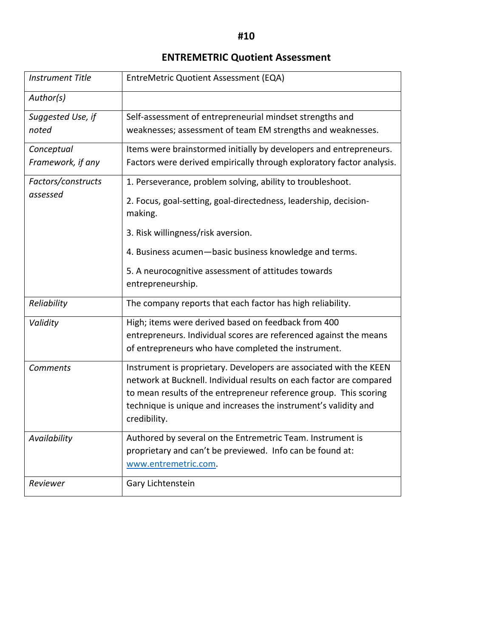#### **ENTREMETRIC Quotient Assessment**

| <b>Instrument Title</b> | EntreMetric Quotient Assessment (EQA)                                                                                                |  |  |
|-------------------------|--------------------------------------------------------------------------------------------------------------------------------------|--|--|
| Author(s)               |                                                                                                                                      |  |  |
| Suggested Use, if       | Self-assessment of entrepreneurial mindset strengths and                                                                             |  |  |
| noted                   | weaknesses; assessment of team EM strengths and weaknesses.                                                                          |  |  |
| Conceptual              | Items were brainstormed initially by developers and entrepreneurs.                                                                   |  |  |
| Framework, if any       | Factors were derived empirically through exploratory factor analysis.                                                                |  |  |
| Factors/constructs      | 1. Perseverance, problem solving, ability to troubleshoot.                                                                           |  |  |
| assessed                | 2. Focus, goal-setting, goal-directedness, leadership, decision-<br>making.                                                          |  |  |
|                         | 3. Risk willingness/risk aversion.                                                                                                   |  |  |
|                         | 4. Business acumen-basic business knowledge and terms.                                                                               |  |  |
|                         | 5. A neurocognitive assessment of attitudes towards                                                                                  |  |  |
|                         | entrepreneurship.                                                                                                                    |  |  |
| Reliability             | The company reports that each factor has high reliability.                                                                           |  |  |
| Validity                | High; items were derived based on feedback from 400                                                                                  |  |  |
|                         | entrepreneurs. Individual scores are referenced against the means<br>of entrepreneurs who have completed the instrument.             |  |  |
| <b>Comments</b>         | Instrument is proprietary. Developers are associated with the KEEN                                                                   |  |  |
|                         | network at Bucknell. Individual results on each factor are compared                                                                  |  |  |
|                         | to mean results of the entrepreneur reference group. This scoring<br>technique is unique and increases the instrument's validity and |  |  |
|                         | credibility.                                                                                                                         |  |  |
| Availability            | Authored by several on the Entremetric Team. Instrument is                                                                           |  |  |
|                         | proprietary and can't be previewed. Info can be found at:<br>www.entremetric.com.                                                    |  |  |
| Reviewer                | Gary Lichtenstein                                                                                                                    |  |  |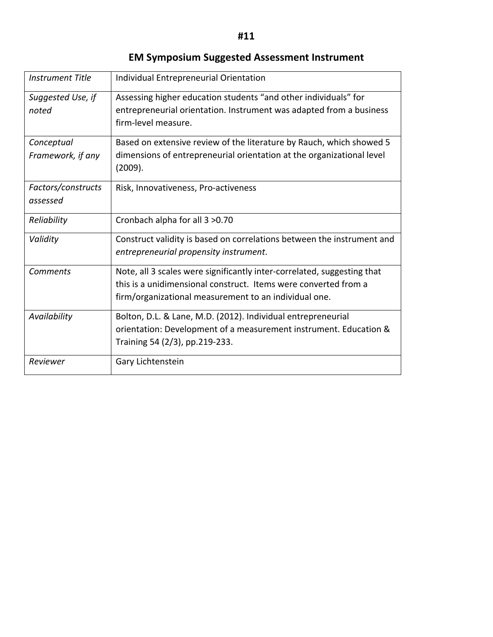#### **EM Symposium Suggested Assessment Instrument**

| <b>Instrument Title</b>         | Individual Entrepreneurial Orientation                                                                                                                                                              |  |  |
|---------------------------------|-----------------------------------------------------------------------------------------------------------------------------------------------------------------------------------------------------|--|--|
| Suggested Use, if<br>noted      | Assessing higher education students "and other individuals" for<br>entrepreneurial orientation. Instrument was adapted from a business<br>firm-level measure.                                       |  |  |
| Conceptual<br>Framework, if any | Based on extensive review of the literature by Rauch, which showed 5<br>dimensions of entrepreneurial orientation at the organizational level<br>(2009).                                            |  |  |
| Factors/constructs<br>assessed  | Risk, Innovativeness, Pro-activeness                                                                                                                                                                |  |  |
| Reliability                     | Cronbach alpha for all 3 > 0.70                                                                                                                                                                     |  |  |
| Validity                        | Construct validity is based on correlations between the instrument and<br>entrepreneurial propensity instrument.                                                                                    |  |  |
| <b>Comments</b>                 | Note, all 3 scales were significantly inter-correlated, suggesting that<br>this is a unidimensional construct. Items were converted from a<br>firm/organizational measurement to an individual one. |  |  |
| Availability                    | Bolton, D.L. & Lane, M.D. (2012). Individual entrepreneurial<br>orientation: Development of a measurement instrument. Education &<br>Training 54 (2/3), pp.219-233.                                 |  |  |
| Reviewer                        | Gary Lichtenstein                                                                                                                                                                                   |  |  |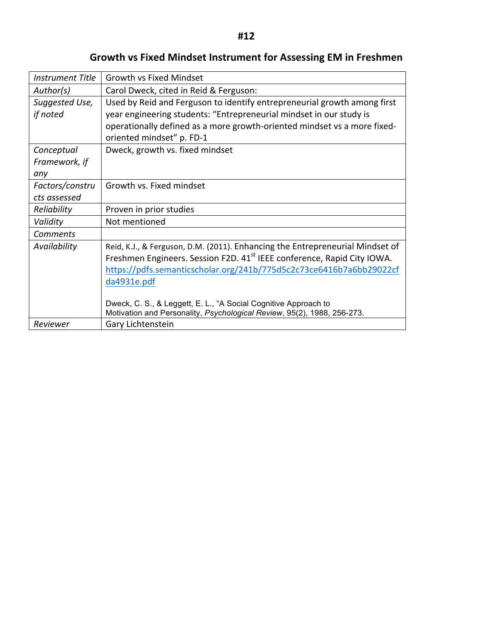| <b>Instrument Title</b>    | <b>Growth vs Fixed Mindset</b>                                                                                                                                                                                                                                                                                                |
|----------------------------|-------------------------------------------------------------------------------------------------------------------------------------------------------------------------------------------------------------------------------------------------------------------------------------------------------------------------------|
| Author(s)                  | Carol Dweck, cited in Reid & Ferguson:                                                                                                                                                                                                                                                                                        |
| Suggested Use,<br>if noted | Used by Reid and Ferguson to identify entrepreneurial growth among first<br>year engineering students: "Entrepreneurial mindset in our study is<br>operationally defined as a more growth-oriented mindset vs a more fixed-<br>oriented mindset" p. FD-1                                                                      |
| Conceptual                 | Dweck, growth vs. fixed mindset                                                                                                                                                                                                                                                                                               |
| Framework, if              |                                                                                                                                                                                                                                                                                                                               |
| any                        |                                                                                                                                                                                                                                                                                                                               |
| Factors/constru            | Growth vs. Fixed mindset                                                                                                                                                                                                                                                                                                      |
| cts assessed               |                                                                                                                                                                                                                                                                                                                               |
| Reliability                | Proven in prior studies                                                                                                                                                                                                                                                                                                       |
| Validity                   | Not mentioned                                                                                                                                                                                                                                                                                                                 |
| Comments                   |                                                                                                                                                                                                                                                                                                                               |
| Availability               | Reid, K.J., & Ferguson, D.M. (2011). Enhancing the Entrepreneurial Mindset of<br>Freshmen Engineers. Session F2D. 41 <sup>st</sup> IEEE conference, Rapid City IOWA.<br>https://pdfs.semanticscholar.org/241b/775d5c2c73ce6416b7a6bb29022cf<br>da4931e.pdf<br>Dweck, C. S., & Leggett, E. L., "A Social Cognitive Approach to |
|                            | Motivation and Personality, Psychological Review, 95(2), 1988, 256-273.                                                                                                                                                                                                                                                       |
| Reviewer                   | Gary Lichtenstein                                                                                                                                                                                                                                                                                                             |

#### **Growth vs Fixed Mindset Instrument for Assessing EM in Freshmen**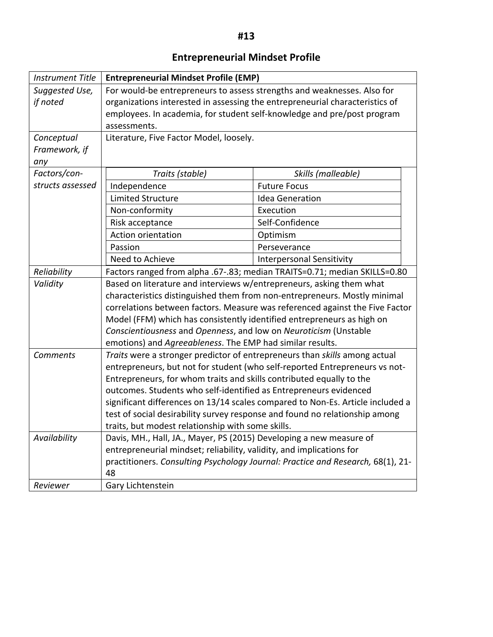#### **Entrepreneurial Mindset Profile**

| <b>Instrument Title</b> | <b>Entrepreneurial Mindset Profile (EMP)</b>                                 |                                                                                 |  |  |
|-------------------------|------------------------------------------------------------------------------|---------------------------------------------------------------------------------|--|--|
| Suggested Use,          | For would-be entrepreneurs to assess strengths and weaknesses. Also for      |                                                                                 |  |  |
| if noted                | organizations interested in assessing the entrepreneurial characteristics of |                                                                                 |  |  |
|                         | employees. In academia, for student self-knowledge and pre/post program      |                                                                                 |  |  |
|                         | assessments.                                                                 |                                                                                 |  |  |
| Conceptual              | Literature, Five Factor Model, loosely.                                      |                                                                                 |  |  |
| Framework, if           |                                                                              |                                                                                 |  |  |
| any                     |                                                                              |                                                                                 |  |  |
| Factors/con-            | Traits (stable)                                                              | Skills (malleable)                                                              |  |  |
| structs assessed        | Independence                                                                 | <b>Future Focus</b>                                                             |  |  |
|                         | <b>Limited Structure</b>                                                     | <b>Idea Generation</b>                                                          |  |  |
|                         | Non-conformity                                                               | Execution                                                                       |  |  |
|                         | Risk acceptance                                                              | Self-Confidence                                                                 |  |  |
|                         | <b>Action orientation</b>                                                    | Optimism                                                                        |  |  |
|                         | Passion                                                                      | Perseverance                                                                    |  |  |
|                         | Need to Achieve                                                              | <b>Interpersonal Sensitivity</b>                                                |  |  |
| Reliability             |                                                                              | Factors ranged from alpha .67-.83; median TRAITS=0.71; median SKILLS=0.80       |  |  |
| Validity                | Based on literature and interviews w/entrepreneurs, asking them what         |                                                                                 |  |  |
|                         | characteristics distinguished them from non-entrepreneurs. Mostly minimal    |                                                                                 |  |  |
|                         | correlations between factors. Measure was referenced against the Five Factor |                                                                                 |  |  |
|                         | Model (FFM) which has consistently identified entrepreneurs as high on       |                                                                                 |  |  |
|                         | Conscientiousness and Openness, and low on Neuroticism (Unstable             |                                                                                 |  |  |
|                         | emotions) and Agreeableness. The EMP had similar results.                    |                                                                                 |  |  |
| Comments                | Traits were a stronger predictor of entrepreneurs than skills among actual   |                                                                                 |  |  |
|                         | entrepreneurs, but not for student (who self-reported Entrepreneurs vs not-  |                                                                                 |  |  |
|                         | Entrepreneurs, for whom traits and skills contributed equally to the         |                                                                                 |  |  |
|                         | outcomes. Students who self-identified as Entrepreneurs evidenced            |                                                                                 |  |  |
|                         |                                                                              | significant differences on 13/14 scales compared to Non-Es. Article included a  |  |  |
|                         |                                                                              | test of social desirability survey response and found no relationship among     |  |  |
|                         | traits, but modest relationship with some skills.                            |                                                                                 |  |  |
| Availability            | Davis, MH., Hall, JA., Mayer, PS (2015) Developing a new measure of          |                                                                                 |  |  |
|                         | entrepreneurial mindset; reliability, validity, and implications for         |                                                                                 |  |  |
|                         |                                                                              | practitioners. Consulting Psychology Journal: Practice and Research, 68(1), 21- |  |  |
|                         | 48                                                                           |                                                                                 |  |  |
| Reviewer                | Gary Lichtenstein                                                            |                                                                                 |  |  |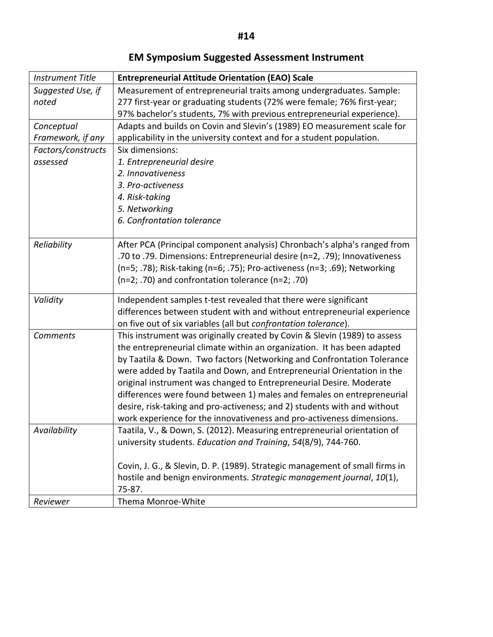| <b>Instrument Title</b> | <b>Entrepreneurial Attitude Orientation (EAO) Scale</b>                      |
|-------------------------|------------------------------------------------------------------------------|
| Suggested Use, if       | Measurement of entrepreneurial traits among undergraduates. Sample:          |
| noted                   | 277 first-year or graduating students (72% were female; 76% first-year;      |
|                         | 97% bachelor's students, 7% with previous entrepreneurial experience).       |
| Conceptual              | Adapts and builds on Covin and Slevin's (1989) EO measurement scale for      |
| Framework, if any       | applicability in the university context and for a student population.        |
| Factors/constructs      | Six dimensions:                                                              |
| assessed                | 1. Entrepreneurial desire                                                    |
|                         | 2. Innovativeness                                                            |
|                         | 3. Pro-activeness                                                            |
|                         | 4. Risk-taking                                                               |
|                         | 5. Networking                                                                |
|                         | 6. Confrontation tolerance                                                   |
|                         |                                                                              |
| Reliability             | After PCA (Principal component analysis) Chronbach's alpha's ranged from     |
|                         | .70 to .79. Dimensions: Entrepreneurial desire (n=2, .79); Innovativeness    |
|                         | (n=5; .78); Risk-taking (n=6; .75); Pro-activeness (n=3; .69); Networking    |
|                         | $(n=2; .70)$ and confrontation tolerance $(n=2; .70)$                        |
| Validity                | Independent samples t-test revealed that there were significant              |
|                         | differences between student with and without entrepreneurial experience      |
|                         | on five out of six variables (all but confrontation tolerance).              |
| Comments                | This instrument was originally created by Covin & Slevin (1989) to assess    |
|                         | the entrepreneurial climate within an organization. It has been adapted      |
|                         | by Taatila & Down. Two factors (Networking and Confrontation Tolerance       |
|                         | were added by Taatila and Down, and Entrepreneurial Orientation in the       |
|                         | original instrument was changed to Entrepreneurial Desire. Moderate          |
|                         | differences were found between 1) males and females on entrepreneurial       |
|                         | desire, risk-taking and pro-activeness; and 2) students with and without     |
|                         | work experience for the innovativeness and pro-activeness dimensions.        |
| Availability            | Taatila, V., & Down, S. (2012). Measuring entrepreneurial orientation of     |
|                         | university students. Education and Training, 54(8/9), 744-760.               |
|                         |                                                                              |
|                         | Covin, J. G., & Slevin, D. P. (1989). Strategic management of small firms in |
|                         | hostile and benign environments. Strategic management journal, 10(1),        |
|                         | 75-87.                                                                       |
| Reviewer                | Thema Monroe-White                                                           |

**EM Symposium Suggested Assessment Instrument**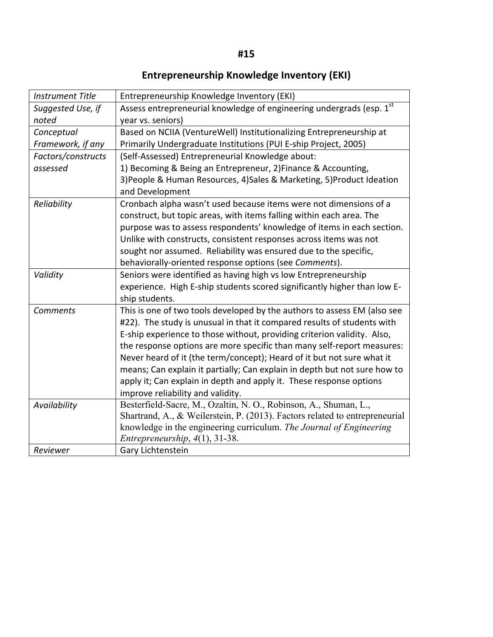# **Entrepreneurship Knowledge Inventory (EKI)**

| <b>Instrument Title</b> | Entrepreneurship Knowledge Inventory (EKI)                                                                                                      |
|-------------------------|-------------------------------------------------------------------------------------------------------------------------------------------------|
| Suggested Use, if       | Assess entrepreneurial knowledge of engineering undergrads (esp. 1st                                                                            |
| noted                   | year vs. seniors)                                                                                                                               |
| Conceptual              | Based on NCIIA (VentureWell) Institutionalizing Entrepreneurship at                                                                             |
| Framework, if any       | Primarily Undergraduate Institutions (PUI E-ship Project, 2005)                                                                                 |
| Factors/constructs      | (Self-Assessed) Entrepreneurial Knowledge about:                                                                                                |
| assessed                | 1) Becoming & Being an Entrepreneur, 2) Finance & Accounting,                                                                                   |
|                         | 3) People & Human Resources, 4) Sales & Marketing, 5) Product Ideation<br>and Development                                                       |
| Reliability             | Cronbach alpha wasn't used because items were not dimensions of a                                                                               |
|                         | construct, but topic areas, with items falling within each area. The                                                                            |
|                         | purpose was to assess respondents' knowledge of items in each section.                                                                          |
|                         | Unlike with constructs, consistent responses across items was not                                                                               |
|                         | sought nor assumed. Reliability was ensured due to the specific,                                                                                |
|                         | behaviorally-oriented response options (see Comments).                                                                                          |
| Validity                | Seniors were identified as having high vs low Entrepreneurship                                                                                  |
|                         | experience. High E-ship students scored significantly higher than low E-                                                                        |
|                         | ship students.                                                                                                                                  |
| <b>Comments</b>         | This is one of two tools developed by the authors to assess EM (also see                                                                        |
|                         | #22). The study is unusual in that it compared results of students with                                                                         |
|                         | E-ship experience to those without, providing criterion validity. Also,                                                                         |
|                         | the response options are more specific than many self-report measures:                                                                          |
|                         | Never heard of it (the term/concept); Heard of it but not sure what it                                                                          |
|                         | means; Can explain it partially; Can explain in depth but not sure how to                                                                       |
|                         | apply it; Can explain in depth and apply it. These response options                                                                             |
|                         | improve reliability and validity.                                                                                                               |
| Availability            | Besterfield-Sacre, M., Ozaltin, N. O., Robinson, A., Shuman, L.,<br>Shartrand, A., & Weilerstein, P. (2013). Factors related to entrepreneurial |
|                         | knowledge in the engineering curriculum. The Journal of Engineering                                                                             |
|                         | Entrepreneurship, $4(1)$ , 31-38.                                                                                                               |
| Reviewer                | Gary Lichtenstein                                                                                                                               |
|                         |                                                                                                                                                 |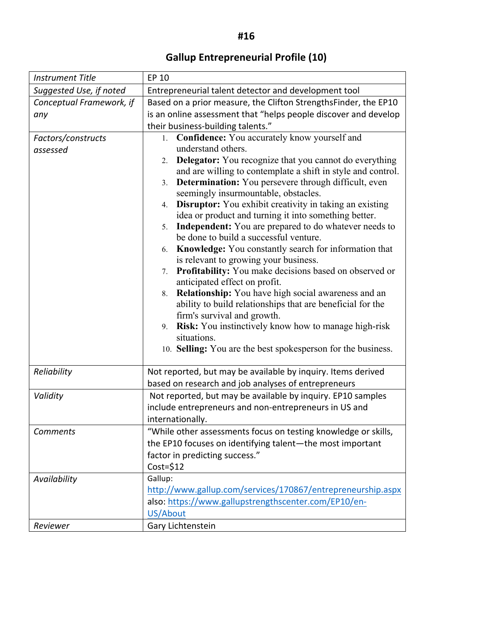# **Gallup Entrepreneurial Profile (10)**

| <b>Instrument Title</b>  | EP 10                                                                                                        |  |  |
|--------------------------|--------------------------------------------------------------------------------------------------------------|--|--|
| Suggested Use, if noted  | Entrepreneurial talent detector and development tool                                                         |  |  |
| Conceptual Framework, if | Based on a prior measure, the Clifton StrengthsFinder, the EP10                                              |  |  |
| any                      | is an online assessment that "helps people discover and develop                                              |  |  |
|                          | their business-building talents."                                                                            |  |  |
| Factors/constructs       | Confidence: You accurately know yourself and<br>1.                                                           |  |  |
| assessed                 | understand others.                                                                                           |  |  |
|                          | <b>Delegator:</b> You recognize that you cannot do everything<br>2 <sub>1</sub>                              |  |  |
|                          | and are willing to contemplate a shift in style and control.                                                 |  |  |
|                          | <b>Determination:</b> You persevere through difficult, even<br>3.                                            |  |  |
|                          | seemingly insurmountable, obstacles.                                                                         |  |  |
|                          | <b>Disruptor:</b> You exhibit creativity in taking an existing<br>4.                                         |  |  |
|                          | idea or product and turning it into something better.                                                        |  |  |
|                          | <b>Independent:</b> You are prepared to do whatever needs to<br>5.<br>be done to build a successful venture. |  |  |
|                          | Knowledge: You constantly search for information that<br>6.                                                  |  |  |
|                          | is relevant to growing your business.                                                                        |  |  |
|                          | Profitability: You make decisions based on observed or<br>7.                                                 |  |  |
|                          | anticipated effect on profit.                                                                                |  |  |
|                          | 8. Relationship: You have high social awareness and an                                                       |  |  |
|                          | ability to build relationships that are beneficial for the                                                   |  |  |
|                          | firm's survival and growth.                                                                                  |  |  |
|                          | <b>Risk:</b> You instinctively know how to manage high-risk<br>9.                                            |  |  |
|                          | situations.                                                                                                  |  |  |
|                          | 10. Selling: You are the best spokesperson for the business.                                                 |  |  |
|                          |                                                                                                              |  |  |
| Reliability              | Not reported, but may be available by inquiry. Items derived                                                 |  |  |
|                          | based on research and job analyses of entrepreneurs                                                          |  |  |
| Validity                 | Not reported, but may be available by inquiry. EP10 samples                                                  |  |  |
|                          | include entrepreneurs and non-entrepreneurs in US and                                                        |  |  |
|                          | internationally.                                                                                             |  |  |
| Comments                 | "While other assessments focus on testing knowledge or skills,                                               |  |  |
|                          | the EP10 focuses on identifying talent-the most important                                                    |  |  |
|                          | factor in predicting success."                                                                               |  |  |
|                          | $Cost = $12$                                                                                                 |  |  |
| Availability             | Gallup:                                                                                                      |  |  |
|                          | http://www.gallup.com/services/170867/entrepreneurship.aspx                                                  |  |  |
|                          | also: https://www.gallupstrengthscenter.com/EP10/en-                                                         |  |  |
|                          | US/About                                                                                                     |  |  |
| Reviewer                 | Gary Lichtenstein                                                                                            |  |  |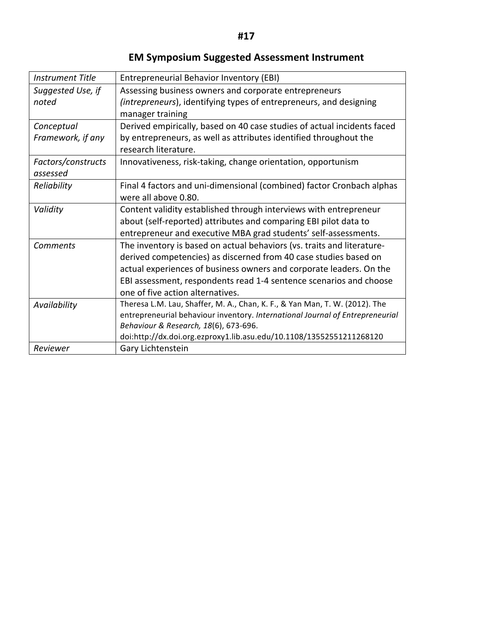#### **EM Symposium Suggested Assessment Instrument**

| <b>Instrument Title</b> | <b>Entrepreneurial Behavior Inventory (EBI)</b>                               |
|-------------------------|-------------------------------------------------------------------------------|
| Suggested Use, if       | Assessing business owners and corporate entrepreneurs                         |
| noted                   | (intrepreneurs), identifying types of entrepreneurs, and designing            |
|                         | manager training                                                              |
| Conceptual              | Derived empirically, based on 40 case studies of actual incidents faced       |
| Framework, if any       | by entrepreneurs, as well as attributes identified throughout the             |
|                         | research literature.                                                          |
| Factors/constructs      | Innovativeness, risk-taking, change orientation, opportunism                  |
| assessed                |                                                                               |
| Reliability             | Final 4 factors and uni-dimensional (combined) factor Cronbach alphas         |
|                         | were all above 0.80.                                                          |
| Validity                | Content validity established through interviews with entrepreneur             |
|                         | about (self-reported) attributes and comparing EBI pilot data to              |
|                         | entrepreneur and executive MBA grad students' self-assessments.               |
| Comments                | The inventory is based on actual behaviors (vs. traits and literature-        |
|                         | derived competencies) as discerned from 40 case studies based on              |
|                         | actual experiences of business owners and corporate leaders. On the           |
|                         | EBI assessment, respondents read 1-4 sentence scenarios and choose            |
|                         | one of five action alternatives.                                              |
| Availability            | Theresa L.M. Lau, Shaffer, M. A., Chan, K. F., & Yan Man, T. W. (2012). The   |
|                         | entrepreneurial behaviour inventory. International Journal of Entrepreneurial |
|                         | Behaviour & Research, 18(6), 673-696.                                         |
|                         | doi:http://dx.doi.org.ezproxy1.lib.asu.edu/10.1108/13552551211268120          |
| Reviewer                | Gary Lichtenstein                                                             |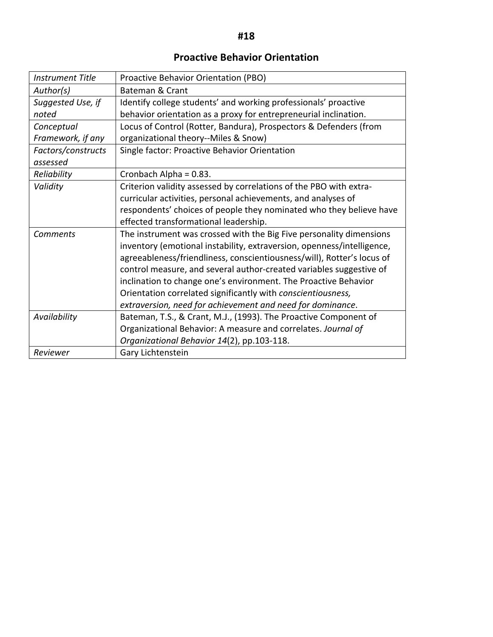#### **Proactive Behavior Orientation**

| <b>Instrument Title</b> | Proactive Behavior Orientation (PBO)                                   |
|-------------------------|------------------------------------------------------------------------|
| Author(s)               | <b>Bateman &amp; Crant</b>                                             |
| Suggested Use, if       | Identify college students' and working professionals' proactive        |
| noted                   | behavior orientation as a proxy for entrepreneurial inclination.       |
| Conceptual              | Locus of Control (Rotter, Bandura), Prospectors & Defenders (from      |
| Framework, if any       | organizational theory--Miles & Snow)                                   |
| Factors/constructs      | Single factor: Proactive Behavior Orientation                          |
| assessed                |                                                                        |
| Reliability             | Cronbach Alpha = 0.83.                                                 |
| Validity                | Criterion validity assessed by correlations of the PBO with extra-     |
|                         | curricular activities, personal achievements, and analyses of          |
|                         | respondents' choices of people they nominated who they believe have    |
|                         | effected transformational leadership.                                  |
| <b>Comments</b>         | The instrument was crossed with the Big Five personality dimensions    |
|                         | inventory (emotional instability, extraversion, openness/intelligence, |
|                         | agreeableness/friendliness, conscientiousness/will), Rotter's locus of |
|                         | control measure, and several author-created variables suggestive of    |
|                         | inclination to change one's environment. The Proactive Behavior        |
|                         | Orientation correlated significantly with conscientiousness,           |
|                         | extraversion, need for achievement and need for dominance.             |
| Availability            | Bateman, T.S., & Crant, M.J., (1993). The Proactive Component of       |
|                         | Organizational Behavior: A measure and correlates. Journal of          |
|                         | Organizational Behavior 14(2), pp.103-118.                             |
| Reviewer                | Gary Lichtenstein                                                      |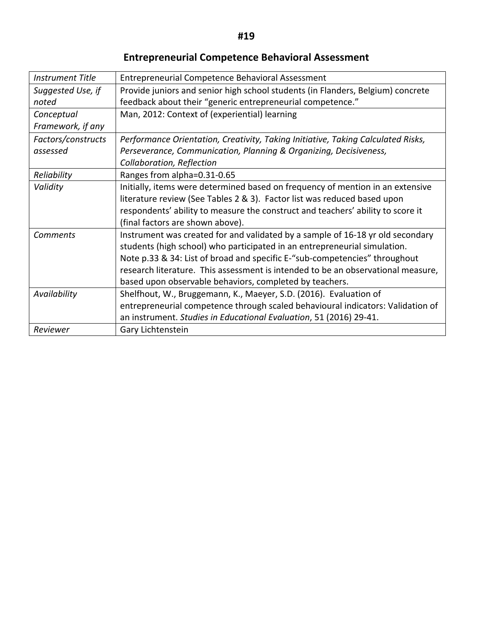# **Entrepreneurial Competence Behavioral Assessment**

| <b>Instrument Title</b> | <b>Entrepreneurial Competence Behavioral Assessment</b>                          |  |  |
|-------------------------|----------------------------------------------------------------------------------|--|--|
| Suggested Use, if       | Provide juniors and senior high school students (in Flanders, Belgium) concrete  |  |  |
| noted                   | feedback about their "generic entrepreneurial competence."                       |  |  |
| Conceptual              | Man, 2012: Context of (experiential) learning                                    |  |  |
| Framework, if any       |                                                                                  |  |  |
| Factors/constructs      | Performance Orientation, Creativity, Taking Initiative, Taking Calculated Risks, |  |  |
| assessed                | Perseverance, Communication, Planning & Organizing, Decisiveness,                |  |  |
|                         | Collaboration, Reflection                                                        |  |  |
| Reliability             | Ranges from alpha=0.31-0.65                                                      |  |  |
| Validity                | Initially, items were determined based on frequency of mention in an extensive   |  |  |
|                         | literature review (See Tables 2 & 3). Factor list was reduced based upon         |  |  |
|                         | respondents' ability to measure the construct and teachers' ability to score it  |  |  |
|                         | (final factors are shown above).                                                 |  |  |
| Comments                | Instrument was created for and validated by a sample of 16-18 yr old secondary   |  |  |
|                         | students (high school) who participated in an entrepreneurial simulation.        |  |  |
|                         | Note p.33 & 34: List of broad and specific E-"sub-competencies" throughout       |  |  |
|                         | research literature. This assessment is intended to be an observational measure, |  |  |
|                         | based upon observable behaviors, completed by teachers.                          |  |  |
| Availability            | Shelfhout, W., Bruggemann, K., Maeyer, S.D. (2016). Evaluation of                |  |  |
|                         | entrepreneurial competence through scaled behavioural indicators: Validation of  |  |  |
|                         | an instrument. Studies in Educational Evaluation, 51 (2016) 29-41.               |  |  |
| Reviewer                | Gary Lichtenstein                                                                |  |  |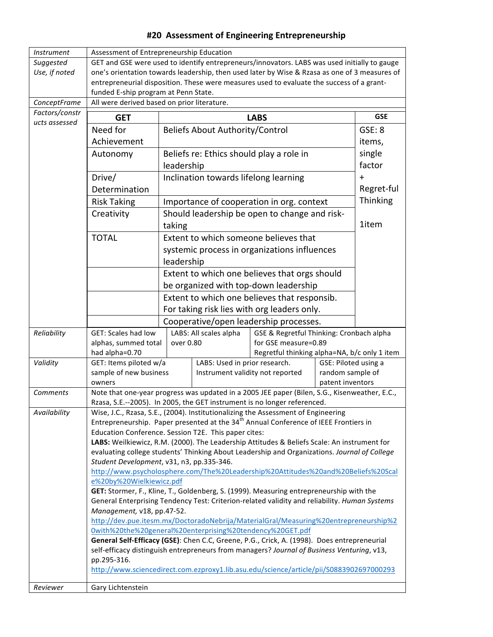#### #20 Assessment of Engineering Entrepreneurship

| <i>Instrument</i>                                                                                      | Assessment of Entrepreneurship Education                                                                                                                                                                                                                                                                                                                                                                                                                                                                                                              |                                                            |                                                      |                                               |            |          |
|--------------------------------------------------------------------------------------------------------|-------------------------------------------------------------------------------------------------------------------------------------------------------------------------------------------------------------------------------------------------------------------------------------------------------------------------------------------------------------------------------------------------------------------------------------------------------------------------------------------------------------------------------------------------------|------------------------------------------------------------|------------------------------------------------------|-----------------------------------------------|------------|----------|
| Suggested                                                                                              | GET and GSE were used to identify entrepreneurs/innovators. LABS was used initially to gauge                                                                                                                                                                                                                                                                                                                                                                                                                                                          |                                                            |                                                      |                                               |            |          |
| Use, if noted                                                                                          | one's orientation towards leadership, then used later by Wise & Rzasa as one of 3 measures of                                                                                                                                                                                                                                                                                                                                                                                                                                                         |                                                            |                                                      |                                               |            |          |
|                                                                                                        | entrepreneurial disposition. These were measures used to evaluate the success of a grant-                                                                                                                                                                                                                                                                                                                                                                                                                                                             |                                                            |                                                      |                                               |            |          |
|                                                                                                        | funded E-ship program at Penn State.                                                                                                                                                                                                                                                                                                                                                                                                                                                                                                                  |                                                            |                                                      |                                               |            |          |
| ConceptFrame                                                                                           | All were derived based on prior literature.                                                                                                                                                                                                                                                                                                                                                                                                                                                                                                           |                                                            |                                                      |                                               |            |          |
| Factors/constr                                                                                         | <b>GET</b><br><b>LABS</b>                                                                                                                                                                                                                                                                                                                                                                                                                                                                                                                             |                                                            |                                                      | <b>GSE</b>                                    |            |          |
| ucts assessed                                                                                          | Need for                                                                                                                                                                                                                                                                                                                                                                                                                                                                                                                                              | <b>Beliefs About Authority/Control</b>                     |                                                      |                                               | GSE: 8     |          |
|                                                                                                        | Achievement                                                                                                                                                                                                                                                                                                                                                                                                                                                                                                                                           |                                                            |                                                      |                                               | items,     |          |
|                                                                                                        | Autonomy                                                                                                                                                                                                                                                                                                                                                                                                                                                                                                                                              | Beliefs re: Ethics should play a role in                   |                                                      |                                               | single     |          |
|                                                                                                        |                                                                                                                                                                                                                                                                                                                                                                                                                                                                                                                                                       |                                                            |                                                      |                                               | factor     |          |
|                                                                                                        |                                                                                                                                                                                                                                                                                                                                                                                                                                                                                                                                                       | leadership                                                 |                                                      |                                               |            |          |
|                                                                                                        | Drive/                                                                                                                                                                                                                                                                                                                                                                                                                                                                                                                                                | Inclination towards lifelong learning                      |                                                      |                                               | $\ddot{}$  |          |
|                                                                                                        | Determination                                                                                                                                                                                                                                                                                                                                                                                                                                                                                                                                         |                                                            |                                                      |                                               | Regret-ful |          |
|                                                                                                        | <b>Risk Taking</b>                                                                                                                                                                                                                                                                                                                                                                                                                                                                                                                                    |                                                            |                                                      | Importance of cooperation in org. context     |            | Thinking |
|                                                                                                        | Creativity                                                                                                                                                                                                                                                                                                                                                                                                                                                                                                                                            |                                                            |                                                      | Should leadership be open to change and risk- |            |          |
|                                                                                                        |                                                                                                                                                                                                                                                                                                                                                                                                                                                                                                                                                       | taking                                                     |                                                      |                                               |            | 1item    |
|                                                                                                        | <b>TOTAL</b>                                                                                                                                                                                                                                                                                                                                                                                                                                                                                                                                          |                                                            |                                                      | Extent to which someone believes that         |            |          |
|                                                                                                        |                                                                                                                                                                                                                                                                                                                                                                                                                                                                                                                                                       |                                                            |                                                      |                                               |            |          |
|                                                                                                        |                                                                                                                                                                                                                                                                                                                                                                                                                                                                                                                                                       | systemic process in organizations influences<br>leadership |                                                      |                                               |            |          |
|                                                                                                        |                                                                                                                                                                                                                                                                                                                                                                                                                                                                                                                                                       |                                                            |                                                      |                                               |            |          |
|                                                                                                        |                                                                                                                                                                                                                                                                                                                                                                                                                                                                                                                                                       | Extent to which one believes that orgs should              |                                                      |                                               |            |          |
|                                                                                                        |                                                                                                                                                                                                                                                                                                                                                                                                                                                                                                                                                       | be organized with top-down leadership                      |                                                      |                                               |            |          |
|                                                                                                        |                                                                                                                                                                                                                                                                                                                                                                                                                                                                                                                                                       | Extent to which one believes that responsib.               |                                                      |                                               |            |          |
|                                                                                                        | For taking risk lies with org leaders only.                                                                                                                                                                                                                                                                                                                                                                                                                                                                                                           |                                                            |                                                      |                                               |            |          |
|                                                                                                        |                                                                                                                                                                                                                                                                                                                                                                                                                                                                                                                                                       |                                                            |                                                      | Cooperative/open leadership processes.        |            |          |
| Reliability                                                                                            | GET: Scales had low                                                                                                                                                                                                                                                                                                                                                                                                                                                                                                                                   |                                                            | LABS: All scales alpha                               | GSE & Regretful Thinking: Cronbach alpha      |            |          |
|                                                                                                        | alphas, summed total                                                                                                                                                                                                                                                                                                                                                                                                                                                                                                                                  | over 0.80                                                  |                                                      | for GSE measure=0.89                          |            |          |
|                                                                                                        | had alpha=0.70                                                                                                                                                                                                                                                                                                                                                                                                                                                                                                                                        |                                                            |                                                      | Regretful thinking alpha=NA, b/c only 1 item  |            |          |
| Validity                                                                                               | GET: Items piloted w/a<br>sample of new business                                                                                                                                                                                                                                                                                                                                                                                                                                                                                                      | LABS: Used in prior research.<br>GSE: Piloted using a      |                                                      | random sample of                              |            |          |
|                                                                                                        | owners                                                                                                                                                                                                                                                                                                                                                                                                                                                                                                                                                |                                                            | Instrument validity not reported<br>patent inventors |                                               |            |          |
| Comments                                                                                               |                                                                                                                                                                                                                                                                                                                                                                                                                                                                                                                                                       |                                                            |                                                      |                                               |            |          |
|                                                                                                        | Note that one-year progress was updated in a 2005 JEE paper (Bilen, S.G., Kisenweather, E.C.,<br>Rzasa, S.E.--2005). In 2005, the GET instrument is no longer referenced.                                                                                                                                                                                                                                                                                                                                                                             |                                                            |                                                      |                                               |            |          |
| Availability                                                                                           | Wise, J.C., Rzasa, S.E., (2004). Institutionalizing the Assessment of Engineering                                                                                                                                                                                                                                                                                                                                                                                                                                                                     |                                                            |                                                      |                                               |            |          |
|                                                                                                        | Entrepreneurship. Paper presented at the 34 <sup>th</sup> Annual Conference of IEEE Frontiers in                                                                                                                                                                                                                                                                                                                                                                                                                                                      |                                                            |                                                      |                                               |            |          |
|                                                                                                        | Education Conference. Session T2E. This paper cites:                                                                                                                                                                                                                                                                                                                                                                                                                                                                                                  |                                                            |                                                      |                                               |            |          |
|                                                                                                        | LABS: Weilkiewicz, R.M. (2000). The Leadership Attitudes & Beliefs Scale: An instrument for<br>evaluating college students' Thinking About Leadership and Organizations. Journal of College<br>Student Development, v31, n3, pp.335-346.<br>http://www.psycholosphere.com/The%20Leadership%20Attitudes%20and%20Beliefs%20Scal<br>e%20by%20Wielkiewicz.pdf<br>GET: Stormer, F., Kline, T., Goldenberg, S. (1999). Measuring entrepreneurship with the<br>General Enterprising Tendency Test: Criterion-related validity and reliability. Human Systems |                                                            |                                                      |                                               |            |          |
|                                                                                                        |                                                                                                                                                                                                                                                                                                                                                                                                                                                                                                                                                       |                                                            |                                                      |                                               |            |          |
|                                                                                                        |                                                                                                                                                                                                                                                                                                                                                                                                                                                                                                                                                       |                                                            |                                                      |                                               |            |          |
|                                                                                                        |                                                                                                                                                                                                                                                                                                                                                                                                                                                                                                                                                       |                                                            |                                                      |                                               |            |          |
|                                                                                                        |                                                                                                                                                                                                                                                                                                                                                                                                                                                                                                                                                       |                                                            |                                                      |                                               |            |          |
|                                                                                                        |                                                                                                                                                                                                                                                                                                                                                                                                                                                                                                                                                       |                                                            |                                                      |                                               |            |          |
|                                                                                                        | Management, v18, pp.47-52.                                                                                                                                                                                                                                                                                                                                                                                                                                                                                                                            |                                                            |                                                      |                                               |            |          |
|                                                                                                        | http://dev.pue.itesm.mx/DoctoradoNebrija/MaterialGral/Measuring%20entrepreneurship%2                                                                                                                                                                                                                                                                                                                                                                                                                                                                  |                                                            |                                                      |                                               |            |          |
|                                                                                                        | 0with%20the%20general%20enterprising%20tendency%20GET.pdf                                                                                                                                                                                                                                                                                                                                                                                                                                                                                             |                                                            |                                                      |                                               |            |          |
|                                                                                                        | General Self-Efficacy (GSE): Chen C.C, Greene, P.G., Crick, A. (1998). Does entrepreneurial                                                                                                                                                                                                                                                                                                                                                                                                                                                           |                                                            |                                                      |                                               |            |          |
|                                                                                                        | self-efficacy distinguish entrepreneurs from managers? Journal of Business Venturing, v13,                                                                                                                                                                                                                                                                                                                                                                                                                                                            |                                                            |                                                      |                                               |            |          |
| pp.295-316.<br>http://www.sciencedirect.com.ezproxy1.lib.asu.edu/science/article/pii/S0883902697000293 |                                                                                                                                                                                                                                                                                                                                                                                                                                                                                                                                                       |                                                            |                                                      |                                               |            |          |
|                                                                                                        |                                                                                                                                                                                                                                                                                                                                                                                                                                                                                                                                                       |                                                            |                                                      |                                               |            |          |
| Reviewer                                                                                               | Gary Lichtenstein                                                                                                                                                                                                                                                                                                                                                                                                                                                                                                                                     |                                                            |                                                      |                                               |            |          |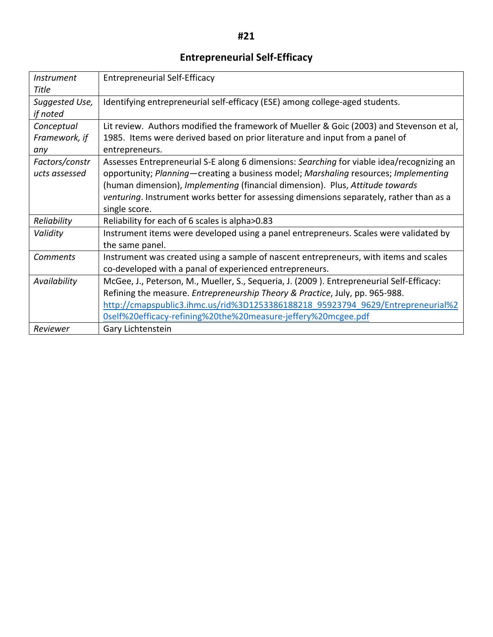# **Entrepreneurial Self-Efficacy**

| Instrument<br>Title                | <b>Entrepreneurial Self-Efficacy</b>                                                                                                                                                                                                                                                                                                                                           |
|------------------------------------|--------------------------------------------------------------------------------------------------------------------------------------------------------------------------------------------------------------------------------------------------------------------------------------------------------------------------------------------------------------------------------|
| Suggested Use,<br>if noted         | Identifying entrepreneurial self-efficacy (ESE) among college-aged students.                                                                                                                                                                                                                                                                                                   |
| Conceptual<br>Framework, if<br>any | Lit review. Authors modified the framework of Mueller & Goic (2003) and Stevenson et al,<br>1985. Items were derived based on prior literature and input from a panel of<br>entrepreneurs.                                                                                                                                                                                     |
| Factors/constr<br>ucts assessed    | Assesses Entrepreneurial S-E along 6 dimensions: Searching for viable idea/recognizing an<br>opportunity; Planning—creating a business model; Marshaling resources; Implementing<br>(human dimension), Implementing (financial dimension). Plus, Attitude towards<br>venturing. Instrument works better for assessing dimensions separately, rather than as a<br>single score. |
| Reliability                        | Reliability for each of 6 scales is alpha>0.83                                                                                                                                                                                                                                                                                                                                 |
| Validity                           | Instrument items were developed using a panel entrepreneurs. Scales were validated by<br>the same panel.                                                                                                                                                                                                                                                                       |
| <b>Comments</b>                    | Instrument was created using a sample of nascent entrepreneurs, with items and scales<br>co-developed with a panal of experienced entrepreneurs.                                                                                                                                                                                                                               |
| Availability                       | McGee, J., Peterson, M., Mueller, S., Sequeria, J. (2009). Entrepreneurial Self-Efficacy:<br>Refining the measure. Entrepreneurship Theory & Practice, July, pp. 965-988.<br>http://cmapspublic3.ihmc.us/rid%3D1253386188218_95923794_9629/Entrepreneurial%2<br>0self%20efficacy-refining%20the%20measure-jeffery%20mcgee.pdf                                                  |
| Reviewer                           | Gary Lichtenstein                                                                                                                                                                                                                                                                                                                                                              |